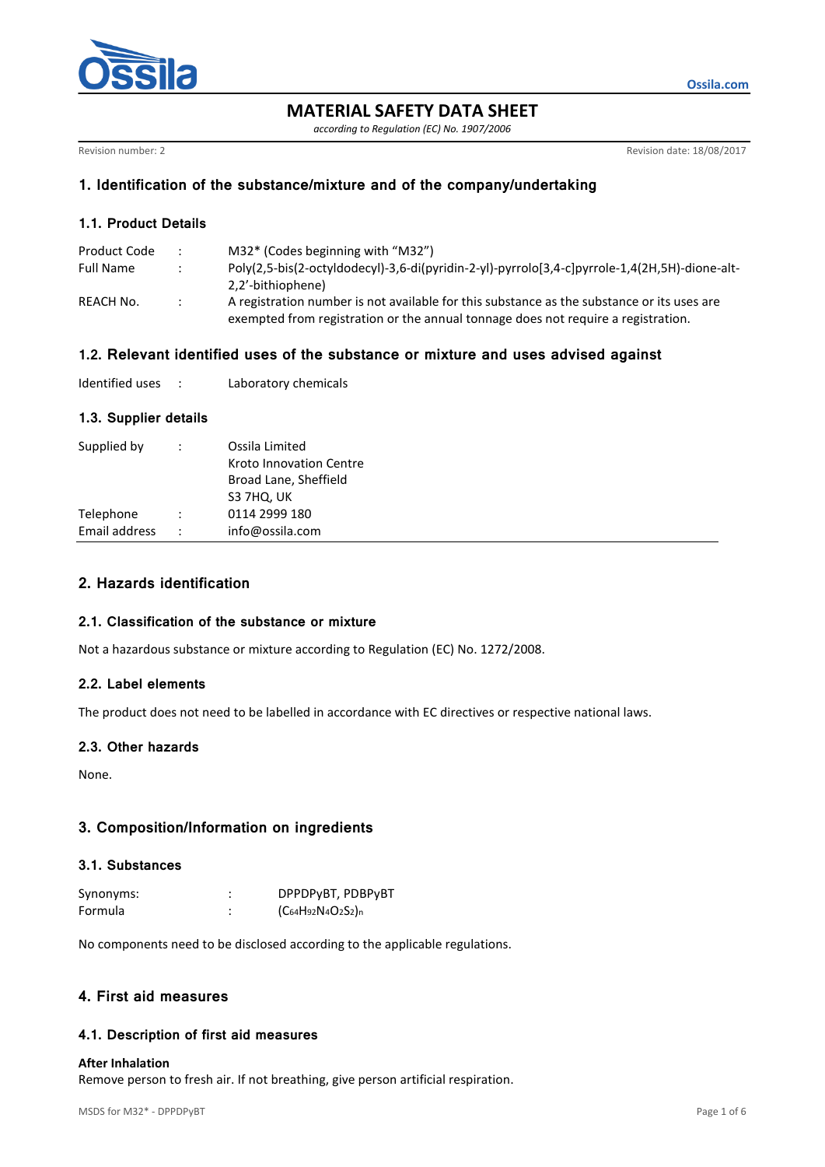

**MATERIAL SAFETY DATA SHEET**

*according to Regulation (EC) No. 1907/2006*

Revision number: 2 Revision date: 18/08/2017

**Ossila.com**

# **1. Identification of the substance/mixture and of the company/undertaking**

# **1.1. Product Details**

| Product Code |               | M32* (Codes beginning with "M32")                                                             |
|--------------|---------------|-----------------------------------------------------------------------------------------------|
| Full Name    |               | Poly(2,5-bis(2-octyldodecyl)-3,6-di(pyridin-2-yl)-pyrrolo[3,4-c]pyrrole-1,4(2H,5H)-dione-alt- |
|              |               | 2,2'-bithiophene)                                                                             |
| REACH No.    | $\mathcal{L}$ | A registration number is not available for this substance as the substance or its uses are    |
|              |               | exempted from registration or the annual tonnage does not require a registration.             |

# **1.2. Relevant identified uses of the substance or mixture and uses advised against**

| Identified uses |  | Laboratory chemicals |
|-----------------|--|----------------------|
|-----------------|--|----------------------|

## **1.3. Supplier details**

| Supplied by   | ÷                    | Ossila Limited<br>Kroto Innovation Centre<br>Broad Lane, Sheffield<br>S3 7HQ, UK |
|---------------|----------------------|----------------------------------------------------------------------------------|
| Telephone     | $\ddot{\phantom{a}}$ | 0114 2999 180                                                                    |
| Email address | ÷                    | info@ossila.com                                                                  |
|               |                      |                                                                                  |

## **2. Hazards identification**

### **2.1. Classification of the substance or mixture**

Not a hazardous substance or mixture according to Regulation (EC) No. 1272/2008.

### **2.2. Label elements**

The product does not need to be labelled in accordance with EC directives or respective national laws.

### **2.3. Other hazards**

None.

# **3. Composition/Information on ingredients**

## **3.1. Substances**

| Synonyms: | DPPDPyBT, PDBPyBT                   |
|-----------|-------------------------------------|
| Formula   | $(C_{64}H_{92}N_{4}O_{2}S_{2})_{n}$ |

No components need to be disclosed according to the applicable regulations.

## **4. First aid measures**

### **4.1. Description of first aid measures**

#### **After Inhalation**

Remove person to fresh air. If not breathing, give person artificial respiration.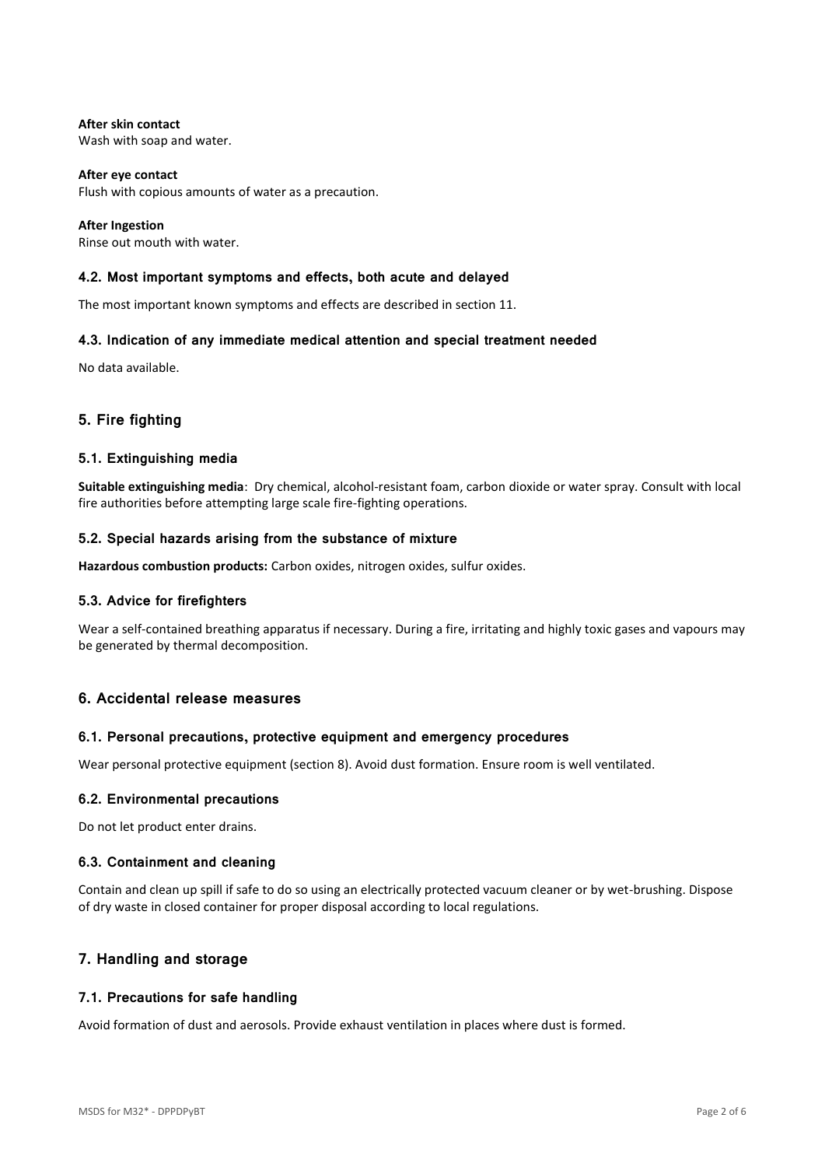**After skin contact** Wash with soap and water.

**After eye contact** Flush with copious amounts of water as a precaution.

**After Ingestion** Rinse out mouth with water.

## **4.2. Most important symptoms and effects, both acute and delayed**

The most important known symptoms and effects are described in section 11.

## **4.3. Indication of any immediate medical attention and special treatment needed**

No data available.

# **5. Fire fighting**

#### **5.1. Extinguishing media**

**Suitable extinguishing media**: Dry chemical, alcohol-resistant foam, carbon dioxide or water spray. Consult with local fire authorities before attempting large scale fire-fighting operations.

### **5.2. Special hazards arising from the substance of mixture**

**Hazardous combustion products:** Carbon oxides, nitrogen oxides, sulfur oxides.

### **5.3. Advice for firefighters**

Wear a self-contained breathing apparatus if necessary. During a fire, irritating and highly toxic gases and vapours may be generated by thermal decomposition.

### **6. Accidental release measures**

### **6.1. Personal precautions, protective equipment and emergency procedures**

Wear personal protective equipment (section 8). Avoid dust formation. Ensure room is well ventilated.

#### **6.2. Environmental precautions**

Do not let product enter drains.

### **6.3. Containment and cleaning**

Contain and clean up spill if safe to do so using an electrically protected vacuum cleaner or by wet-brushing. Dispose of dry waste in closed container for proper disposal according to local regulations.

## **7. Handling and storage**

### **7.1. Precautions for safe handling**

Avoid formation of dust and aerosols. Provide exhaust ventilation in places where dust is formed.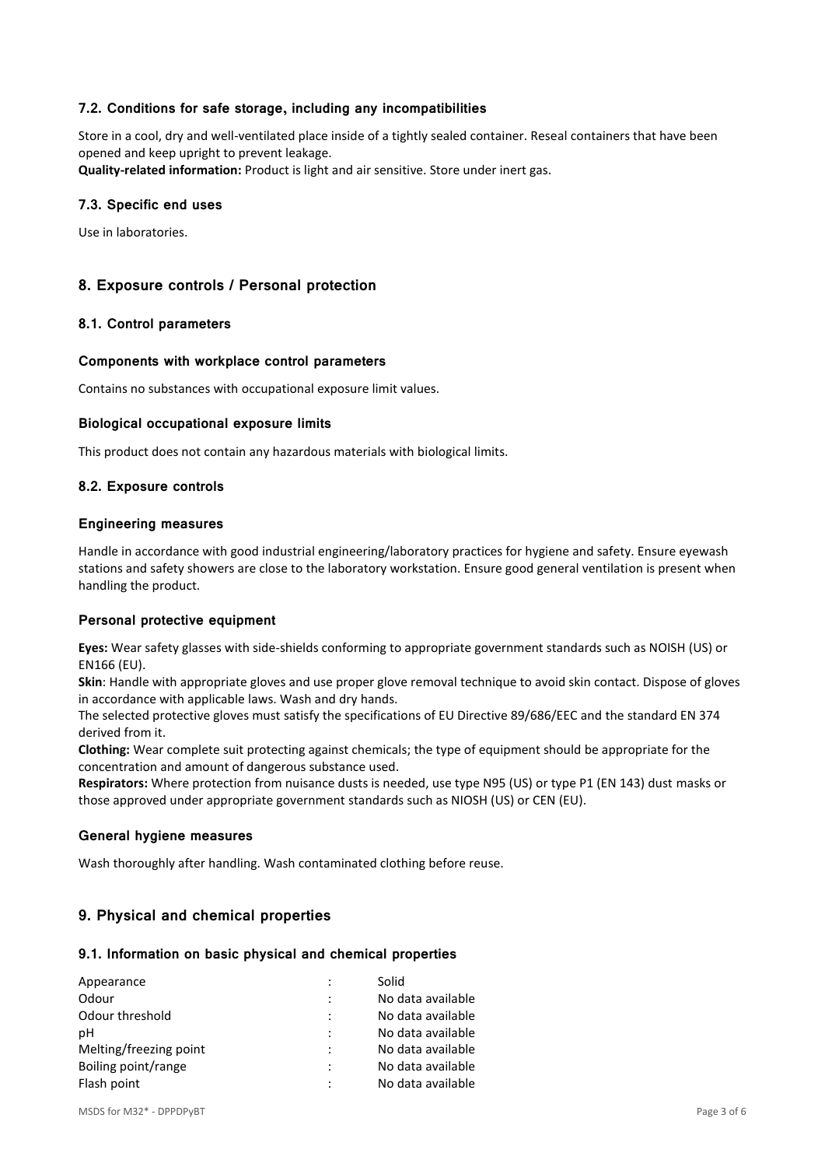## **7.2. Conditions for safe storage, including any incompatibilities**

Store in a cool, dry and well-ventilated place inside of a tightly sealed container. Reseal containers that have been opened and keep upright to prevent leakage.

**Quality-related information:** Product is light and air sensitive. Store under inert gas.

#### **7.3. Specific end uses**

Use in laboratories.

## **8. Exposure controls / Personal protection**

### **8.1. Control parameters**

#### **Components with workplace control parameters**

Contains no substances with occupational exposure limit values.

#### **Biological occupational exposure limits**

This product does not contain any hazardous materials with biological limits.

### **8.2. Exposure controls**

#### **Engineering measures**

Handle in accordance with good industrial engineering/laboratory practices for hygiene and safety. Ensure eyewash stations and safety showers are close to the laboratory workstation. Ensure good general ventilation is present when handling the product.

### **Personal protective equipment**

**Eyes:** Wear safety glasses with side-shields conforming to appropriate government standards such as NOISH (US) or EN166 (EU).

**Skin**: Handle with appropriate gloves and use proper glove removal technique to avoid skin contact. Dispose of gloves in accordance with applicable laws. Wash and dry hands.

The selected protective gloves must satisfy the specifications of EU Directive 89/686/EEC and the standard EN 374 derived from it.

**Clothing:** Wear complete suit protecting against chemicals; the type of equipment should be appropriate for the concentration and amount of dangerous substance used.

**Respirators:** Where protection from nuisance dusts is needed, use type N95 (US) or type P1 (EN 143) dust masks or those approved under appropriate government standards such as NIOSH (US) or CEN (EU).

#### **General hygiene measures**

Wash thoroughly after handling. Wash contaminated clothing before reuse.

### **9. Physical and chemical properties**

#### **9.1. Information on basic physical and chemical properties**

| Appearance             |                | Solid             |
|------------------------|----------------|-------------------|
| Odour                  |                | No data available |
| Odour threshold        |                | No data available |
| рH                     | $\ddot{\cdot}$ | No data available |
| Melting/freezing point |                | No data available |
| Boiling point/range    | $\ddot{\cdot}$ | No data available |
| Flash point            |                | No data available |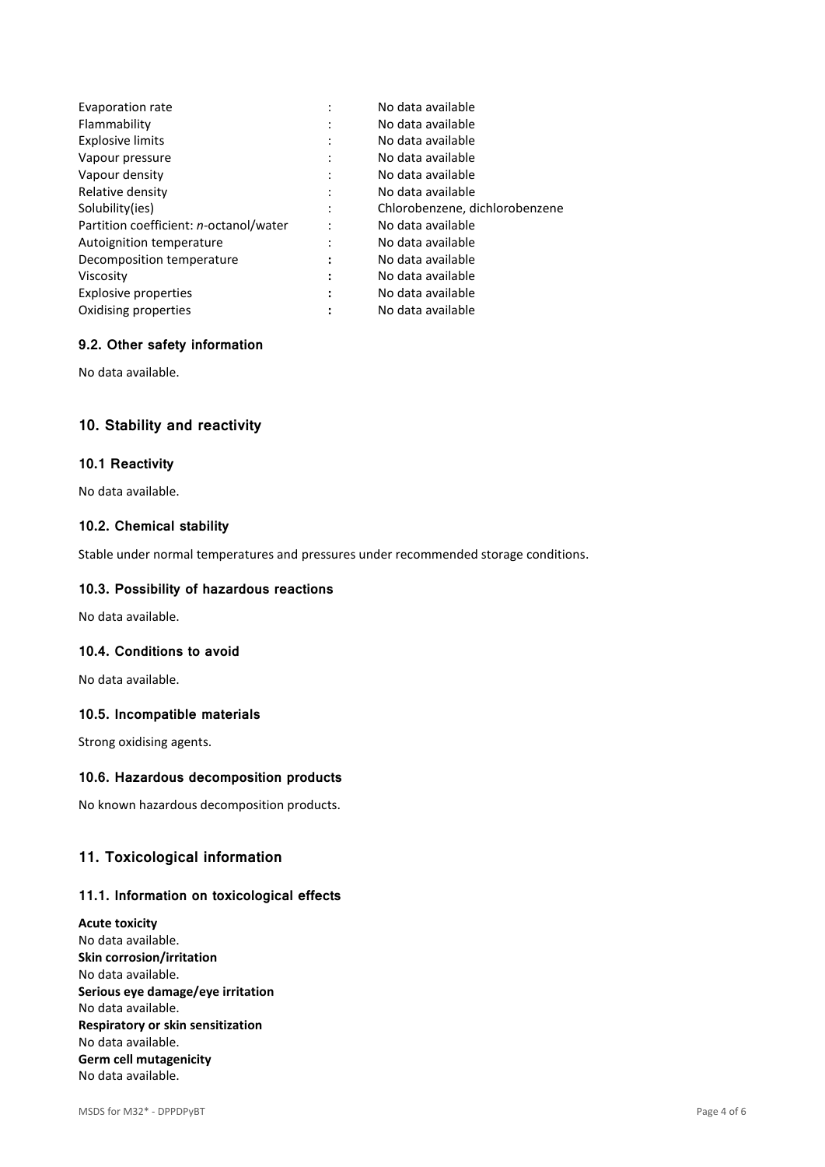| Evaporation rate                       | ٠            | No data available              |
|----------------------------------------|--------------|--------------------------------|
| Flammability                           | ٠            | No data available              |
| <b>Explosive limits</b>                | ٠            | No data available              |
| Vapour pressure                        | $\cdot$      | No data available              |
| Vapour density                         | ٠<br>$\cdot$ | No data available              |
| Relative density                       |              | No data available              |
| Solubility(ies)                        |              | Chlorobenzene, dichlorobenzene |
| Partition coefficient: n-octanol/water |              | No data available              |
| Autoignition temperature               | ٠            | No data available              |
| Decomposition temperature              | ٠            | No data available              |
| Viscosity                              | :            | No data available              |
| <b>Explosive properties</b>            | ٠<br>٠       | No data available              |
| Oxidising properties                   |              | No data available              |

## **9.2. Other safety information**

No data available.

## **10. Stability and reactivity**

#### **10.1 Reactivity**

No data available.

## **10.2. Chemical stability**

Stable under normal temperatures and pressures under recommended storage conditions.

#### **10.3. Possibility of hazardous reactions**

No data available.

## **10.4. Conditions to avoid**

No data available.

#### **10.5. Incompatible materials**

Strong oxidising agents.

#### **10.6. Hazardous decomposition products**

No known hazardous decomposition products.

# **11. Toxicological information**

# **11.1. Information on toxicological effects**

**Acute toxicity** No data available. **Skin corrosion/irritation** No data available. **Serious eye damage/eye irritation** No data available. **Respiratory or skin sensitization** No data available. **Germ cell mutagenicity** No data available.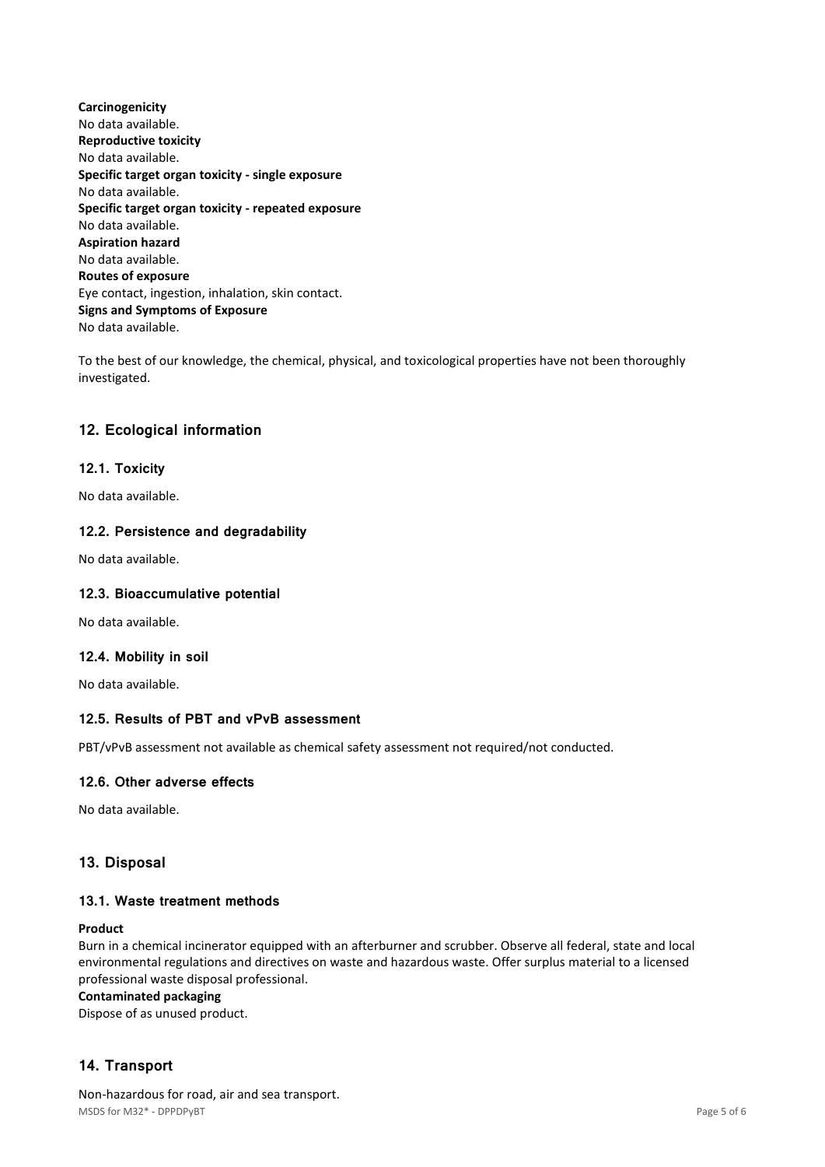**Carcinogenicity** No data available. **Reproductive toxicity** No data available. **Specific target organ toxicity - single exposure** No data available. **Specific target organ toxicity - repeated exposure** No data available. **Aspiration hazard** No data available. **Routes of exposure** Eye contact, ingestion, inhalation, skin contact. **Signs and Symptoms of Exposure** No data available.

To the best of our knowledge, the chemical, physical, and toxicological properties have not been thoroughly investigated.

# **12. Ecological information**

## **12.1. Toxicity**

No data available.

### **12.2. Persistence and degradability**

No data available.

### **12.3. Bioaccumulative potential**

No data available.

### **12.4. Mobility in soil**

No data available.

## **12.5. Results of PBT and vPvB assessment**

PBT/vPvB assessment not available as chemical safety assessment not required/not conducted.

### **12.6. Other adverse effects**

No data available.

### **13. Disposal**

## **13.1. Waste treatment methods**

#### **Product**

Burn in a chemical incinerator equipped with an afterburner and scrubber. Observe all federal, state and local environmental regulations and directives on waste and hazardous waste. Offer surplus material to a licensed professional waste disposal professional.

#### **Contaminated packaging**

Dispose of as unused product.

# **14. Transport**

MSDS for M32\* - DPPDPyBT Page 5 of 6 Non-hazardous for road, air and sea transport.